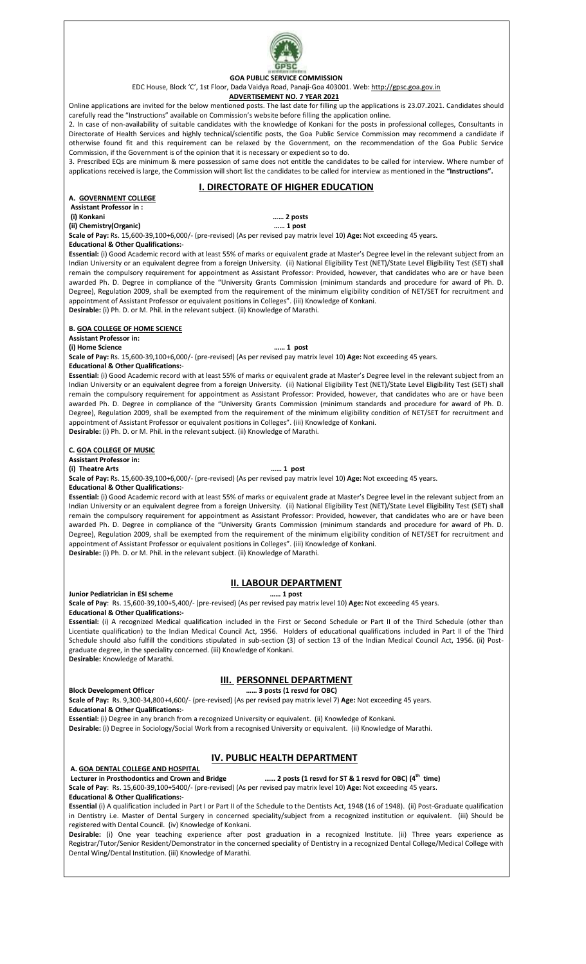

#### **GOA PUBLIC SERVICE COMMISSION**

EDC House, Block 'C', 1st Floor, Dada Vaidya Road, Panaji-Goa 403001. Web[: http://gpsc.goa.gov.in](http://gpsc.goa.gov.in/)

#### **ADVERTISEMENT NO. 7 YEAR 2021**

Online applications are invited for the below mentioned posts. The last date for filling up the applications is 23.07.2021. Candidates should carefully read the "Instructions" available on Commission's website before filling the application online.

2. In case of non-availability of suitable candidates with the knowledge of Konkani for the posts in professional colleges, Consultants in Directorate of Health Services and highly technical/scientific posts, the Goa Public Service Commission may recommend a candidate if otherwise found fit and this requirement can be relaxed by the Government, on the recommendation of the Goa Public Service Commission, if the Government is of the opinion that it is necessary or expedient so to do.

3. Prescribed EQs are minimum & mere possession of same does not entitle the candidates to be called for interview. Where number of applications received is large, the Commission will short list the candidates to be called for interview as mentioned in the **"Instructions".**

# **I. DIRECTORATE OF HIGHER EDUCATION**

**A. GOVERNMENT COLLEGE**

**Assistant Professor in :**

**(i) Konkani …… 2 posts (ii) Chemistry(Organic) …… 1 post** 

**Scale of Pay:** Rs. 15,600-39,100+6,000/- (pre-revised) (As per revised pay matrix level 10) **Age:** Not exceeding 45 years.

#### **Educational & Other Qualifications:**-

**Essential:** (i) Good Academic record with at least 55% of marks or equivalent grade at Master's Degree level in the relevant subject from an Indian University or an equivalent degree from a foreign University. (ii) National Eligibility Test (NET)/State Level Eligibility Test (SET) shall remain the compulsory requirement for appointment as Assistant Professor: Provided, however, that candidates who are or have been awarded Ph. D. Degree in compliance of the "University Grants Commission (minimum standards and procedure for award of Ph. D. Degree), Regulation 2009, shall be exempted from the requirement of the minimum eligibility condition of NET/SET for recruitment and appointment of Assistant Professor or equivalent positions in Colleges". (iii) Knowledge of Konkani. **Desirable:** (i) Ph. D. or M. Phil. in the relevant subject. (ii) Knowledge of Marathi.

#### **B. GOA COLLEGE OF HOME SCIENCE**

**Assistant Professor in:**

**(i) Home Science …… 1 post**

**Scale of Pay:** Rs. 15,600-39,100+6,000/- (pre-revised) (As per revised pay matrix level 10) **Age:** Not exceeding 45 years.

### **Educational & Other Qualifications:**-

**Essential:** (i) Good Academic record with at least 55% of marks or equivalent grade at Master's Degree level in the relevant subject from an Indian University or an equivalent degree from a foreign University. (ii) National Eligibility Test (NET)/State Level Eligibility Test (SET) shall remain the compulsory requirement for appointment as Assistant Professor: Provided, however, that candidates who are or have been awarded Ph. D. Degree in compliance of the "University Grants Commission (minimum standards and procedure for award of Ph. D. Degree), Regulation 2009, shall be exempted from the requirement of the minimum eligibility condition of NET/SET for recruitment and appointment of Assistant Professor or equivalent positions in Colleges". (iii) Knowledge of Konkani. **Desirable:** (i) Ph. D. or M. Phil. in the relevant subject. (ii) Knowledge of Marathi.

**C. GOA COLLEGE OF MUSIC**

# **Assistant Professor in:**

**(i) Theatre Arts …… 1 post Scale of Pay:** Rs. 15,600-39,100+6,000/- (pre-revised) (As per revised pay matrix level 10) **Age:** Not exceeding 45 years.

# **Educational & Other Qualifications:**-

**Essential:** (i) Good Academic record with at least 55% of marks or equivalent grade at Master's Degree level in the relevant subject from an Indian University or an equivalent degree from a foreign University. (ii) National Eligibility Test (NET)/State Level Eligibility Test (SET) shall remain the compulsory requirement for appointment as Assistant Professor: Provided, however, that candidates who are or have been awarded Ph. D. Degree in compliance of the "University Grants Commission (minimum standards and procedure for award of Ph. D. Degree), Regulation 2009, shall be exempted from the requirement of the minimum eligibility condition of NET/SET for recruitment and appointment of Assistant Professor or equivalent positions in Colleges". (iii) Knowledge of Konkani. **Desirable:** (i) Ph. D. or M. Phil. in the relevant subject. (ii) Knowledge of Marathi.

#### **II. LABOUR DEPARTMENT**

**Junior Pediatrician in ESI scheme …… 1 post** 

**Scale of Pay**: Rs. 15,600-39,100+5,400/- (pre-revised) (As per revised pay matrix level 10) **Age:** Not exceeding 45 years.

#### **Educational & Other Qualifications:-**

**Essential:** (i) A recognized Medical qualification included in the First or Second Schedule or Part II of the Third Schedule (other than Licentiate qualification) to the Indian Medical Council Act, 1956. Holders of educational qualifications included in Part II of the Third Schedule should also fulfill the conditions stipulated in sub-section (3) of section 13 of the Indian Medical Council Act, 1956. (ii) Postgraduate degree, in the speciality concerned. (iii) Knowledge of Konkani. **Desirable:** Knowledge of Marathi.

# **III. PERSONNEL DEPARTMENT**

**Block Development Officer …… 3 posts (1 resvd for OBC)** 

**Scale of Pay:** Rs. 9,300-34,800+4,600/- (pre-revised) (As per revised pay matrix level 7) **Age:** Not exceeding 45 years. **Educational & Other Qualifications:**-

**Essential:** (i) Degree in any branch from a recognized University or equivalent. (ii) Knowledge of Konkani.

**Desirable:** (i) Degree in Sociology/Social Work from a recognised University or equivalent. (ii) Knowledge of Marathi.

# **IV. PUBLIC HEALTH DEPARTMENT**

# **A. GOA DENTAL COLLEGE AND HOSPITAL**

**Lecturer in Prosthodontics and Crown and Bridge …… 2 posts (1 resvd for ST & 1 resvd for OBC) (4 th time) Scale of Pay**: Rs. 15,600-39,100+5400/- (pre-revised) (As per revised pay matrix level 10) **Age:** Not exceeding 45 years. **Educational & Other Qualifications:-**

**Essential** (i) A qualification included in Part I or Part II of the Schedule to the Dentists Act, 1948 (16 of 1948). (ii) Post-Graduate qualification in Dentistry i.e. Master of Dental Surgery in concerned speciality/subject from a recognized institution or equivalent. (iii) Should be registered with Dental Council. (iv) Knowledge of Konkani.

**Desirable:** (i) One year teaching experience after post graduation in a recognized Institute. (ii) Three years experience as Registrar/Tutor/Senior Resident/Demonstrator in the concerned speciality of Dentistry in a recognized Dental College/Medical College with Dental Wing/Dental Institution. (iii) Knowledge of Marathi.